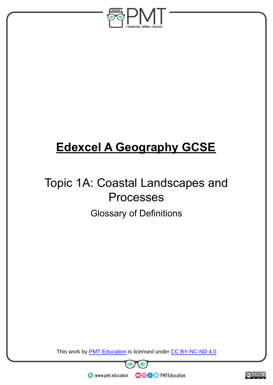

## **Edexcel A Geography GCSE**

## Topic 1A: Coastal Landscapes and Processes Glossary of Definitions

This work by **PMT Education** is licensed under CC BY-NC-ND 4.0





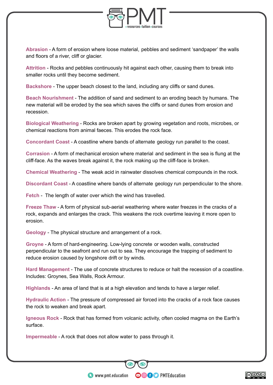

**Abrasion** - A form of erosion where loose material, pebbles and sediment 'sandpaper' the walls and floors of a river, cliff or glacier.

**Attrition** - Rocks and pebbles continuously hit against each other, causing them to break into smaller rocks until they become sediment.

**Backshore** - The upper beach closest to the land, including any cliffs or sand dunes.

**Beach Nourishment** - The addition of sand and sediment to an eroding beach by humans. The new material will be eroded by the sea which saves the cliffs or sand dunes from erosion and recession.

**Biological Weathering** - Rocks are broken apart by growing vegetation and roots, microbes, or chemical reactions from animal faeces. This erodes the rock face.

**Concordant Coast** - A coastline where bands of alternate geology run parallel to the coast.

**Corrasion** - A form of mechanical erosion where material and sediment in the sea is flung at the cliff-face. As the waves break against it, the rock making up the cliff-face is broken.

**Chemical Weathering** - The weak acid in rainwater dissolves chemical compounds in the rock.

**Discordant Coast** - A coastline where bands of alternate geology run perpendicular to the shore.

**Fetch** - The length of water over which the wind has travelled.

**Freeze Thaw** - A form of physical sub-aerial weathering where water freezes in the cracks of a rock, expands and enlarges the crack. This weakens the rock overtime leaving it more open to erosion.

**Geology** - The physical structure and arrangement of a rock.

**Groyne** - A form of hard-engineering. Low-lying concrete or wooden walls, constructed perpendicular to the seafront and run out to sea. They encourage the trapping of sediment to reduce erosion caused by longshore drift or by winds.

**Hard Management** - The use of concrete structures to reduce or halt the recession of a coastline. Includes: Groynes, Sea Walls, Rock Armour.

**Highlands** - An area of land that is at a high elevation and tends to have a larger relief.

**Hydraulic Action** - The pressure of compressed air forced into the cracks of a rock face causes the rock to weaken and break apart.

**Igneous Rock** - Rock that has formed from volcanic activity, often cooled magma on the Earth's surface.

**OOOO** PMTEducation

**Impermeable** - A rock that does not allow water to pass through it.